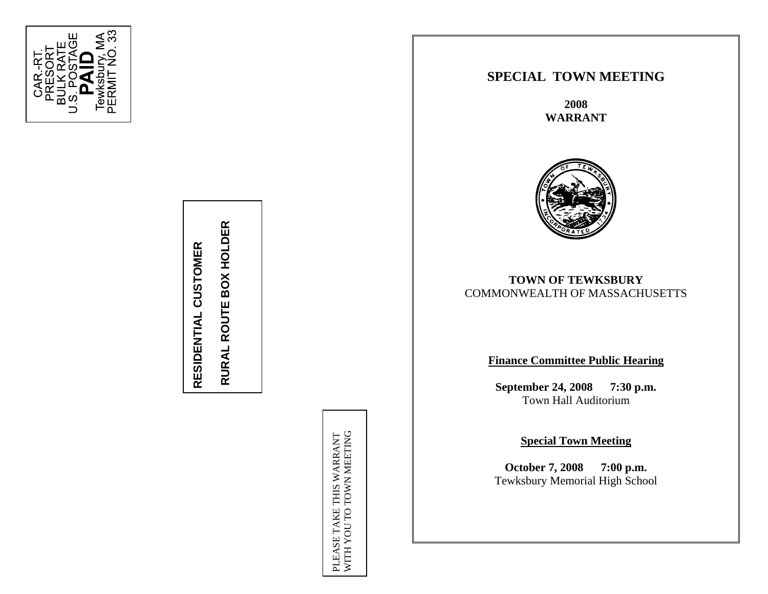

# **RESIDENTIAL CUSTOMER**  RESIDENTIAL CUSTOMER

PLEASE TAKE THIS WARRANT

# **SPECIAL TOWN MEETING**

**2008 WARRANT** 



# **RURAL ROUTE BOX COMMONWEALTH OF MASSACHUSETTS**<br> **Finance Committee Public Hearing**<br> **Finance Committee Public Hearing**<br> **September 24, 2008 7:30 p.m.**

Town Hall Auditorium

Special Town Meeting<br>
Special Town Meeting<br>
October 7, 2008 7:00 p.m.<br>
Tewksbury Memorial High School<br>
NEXT SCHOOL<br>
SERIES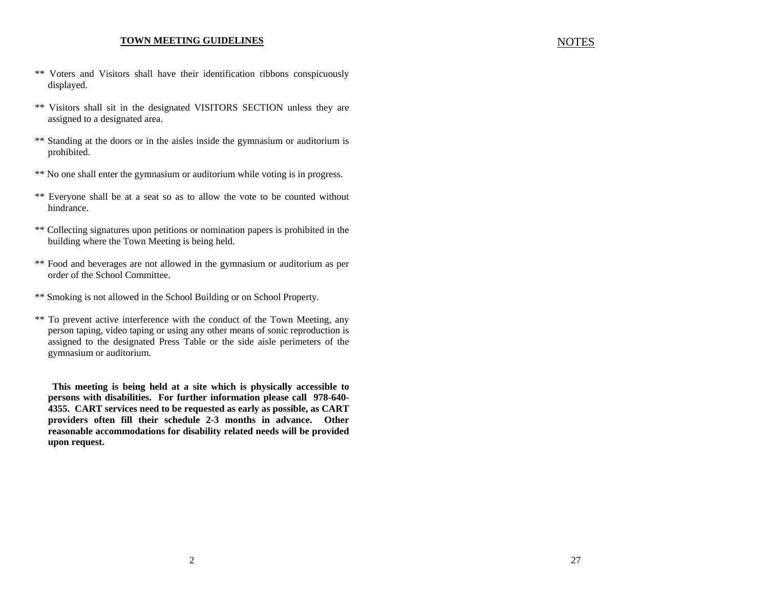#### **TOWN MEETING GUIDELINES**

- \*\* Voters and Visitors shall have their identification ribbons conspicuously displayed.
- \*\* Visitors shall sit in the designated VISITORS SECTION unless they are assigned to a designated area.
- \*\* Standing at the doors or in the aisles inside the gymnasium or auditorium is prohibited.
- \*\* No one shall enter the gymnasium or auditorium while voting is in progress.
- \*\* Everyone shall be at a seat so as to allow the vote to be counted without hindrance.
- \*\* Collecting signatures upon petitions or nomination papers is prohibited in the building where the Town Meeting is being held.
- \*\* Food and beverages are not allowed in the gymnasium or auditorium as per order of the School Committee.
- \*\* Smoking is not allowed in the School Building or on School Property.
- \*\* To prevent active interference with the conduct of the Town Meeting, any person taping, video taping or using any other means of sonic reproduction is assigned to the designated Press Table or the side aisle perimeters of the gymnasium or auditorium.

**This meeting is being held at a site which is physically accessible to persons with disabilities. For further information please call 978-640- 4355. CART services need to be requested as early as possible, as CART providers often fill their schedule 2-3 months in advance. Other reasonable accommodations for disability related needs will be provided upon request.** 

#### NOTES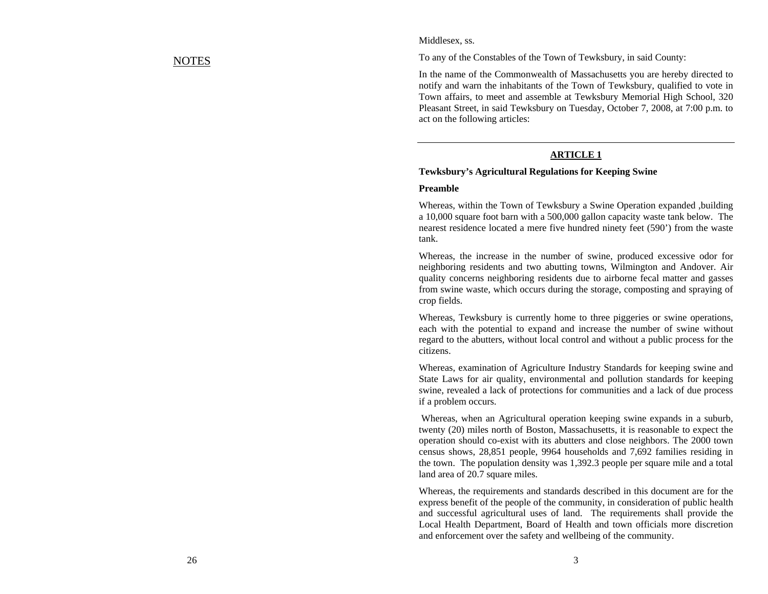# NOTES

#### Middlesex, ss.

To any of the Constables of the Town of Tewksbury, in said County:

In the name of the Commonwealth of Massachusetts you are hereby directed to notify and warn the inhabitants of the Town of Tewksbury, qualified to vote in Town affairs, to meet and assemble at Tewksbury Memorial High School, 320 Pleasant Street, in said Tewksbury on Tuesday, October 7, 2008, at 7:00 p.m. to act on the following articles:

#### **ARTICLE 1**

#### **Tewksbury's Agricultural Regulations for Keeping Swine**

#### **Preamble**

Whereas, within the Town of Tewksbury a Swine Operation expanded ,building a 10,000 square foot barn with a 500,000 gallon capacity waste tank below. The nearest residence located a mere five hundred ninety feet (590') from the waste tank.

Whereas, the increase in the number of swine, produced excessive odor for neighboring residents and two abutting towns, Wilmington and Andover. Air quality concerns neighboring residents due to airborne fecal matter and gasses from swine waste, which occurs during the storage, composting and spraying of crop fields.

Whereas, Tewksbury is currently home to three piggeries or swine operations, each with the potential to expand and increase the number of swine without regard to the abutters, without local control and without a public process for the citizens.

Whereas, examination of Agriculture Industry Standards for keeping swine and State Laws for air quality, environmental and pollution standards for keeping swine, revealed a lack of protections for communities and a lack of due process if a problem occurs.

 Whereas, when an Agricultural operation keeping swine expands in a suburb, twenty (20) miles north of Boston, Massachusetts, it is reasonable to expect the operation should co-exist with its abutters and close neighbors. The 2000 town census shows, 28,851 people, 9964 households and 7,692 families residing in the town. The population density was 1,392.3 people per square mile and a total land area of 20.7 square miles.

Whereas, the requirements and standards described in this document are for the express benefit of the people of the community, in consideration of public health and successful agricultural uses of land. The requirements shall provide the Local Health Department, Board of Health and town officials more discretion and enforcement over the safety and wellbeing of the community.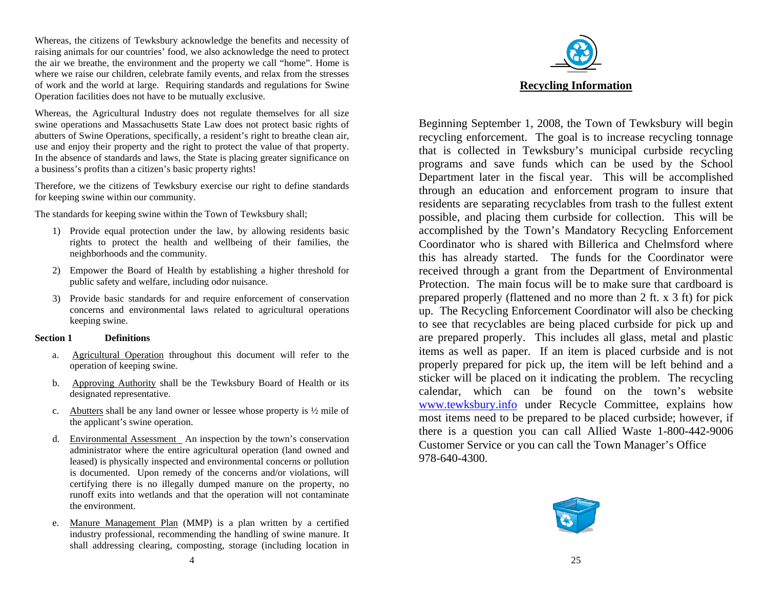Whereas, the citizens of Tewksbury acknowledge the benefits and necessity of raising animals for our countries' food, we also acknowledge the need to protect the air we breathe, the environment and the property we call "home". Home is where we raise our children, celebrate family events, and relax from the stresses of work and the world at large. Requiring standards and regulations for Swine Operation facilities does not have to be mutually exclusive.

Whereas, the Agricultural Industry does not regulate themselves for all size swine operations and Massachusetts State Law does not protect basic rights of abutters of Swine Operations, specifically, a resident's right to breathe clean air, use and enjoy their property and the right to protect the value of that property. In the absence of standards and laws, the State is placing greater significance on a business's profits than a citizen's basic property rights!

Therefore, we the citizens of Tewksbury exercise our right to define standards for keeping swine within our community.

The standards for keeping swine within the Town of Tewksbury shall;

- 1) Provide equal protection under the law, by allowing residents basic rights to protect the health and wellbeing of their families, the neighborhoods and the community.
- 2) Empower the Board of Health by establishing a higher threshold for public safety and welfare, including odor nuisance.
- 3) Provide basic standards for and require enforcement of conservation concerns and environmental laws related to agricultural operations keeping swine.

#### **Section 1 Definitions**

- a. Agricultural Operation throughout this document will refer to the operation of keeping swine.
- b. Approving Authority shall be the Tewksbury Board of Health or its designated representative.
- c. Abutters shall be any land owner or lessee whose property is  $\frac{1}{2}$  mile of the applicant's swine operation.
- d. Environmental Assessment An inspection by the town's conservation administrator where the entire agricultural operation (land owned and leased) is physically inspected and environmental concerns or pollution is documented. Upon remedy of the concerns and/or violations, will certifying there is no illegally dumped manure on the property, no runoff exits into wetlands and that the operation will not contaminate the environment.
- e. Manure Management Plan (MMP) is a plan written by a certified industry professional, recommending the handling of swine manure. It shall addressing clearing, composting, storage (including location in



Beginning September 1, 2008, the Town of Tewksbury will begin recycling enforcement. The goal is to increase recycling tonnage that is collected in Tewksbury's municipal curbside recycling programs and save funds which can be used by the School Department later in the fiscal year. This will be accomplished through an education and enforcement program to insure that residents are separating recyclables from trash to the fullest extent possible, and placing them curbside for collection. This will be accomplished by the Town's Mandatory Recycling Enforcement Coordinator who is shared with Billerica and Chelmsford where this has already started. The funds for the Coordinator were received through a grant from the Department of Environmental Protection. The main focus will be to make sure that cardboard is prepared properly (flattened and no more than 2 ft. x 3 ft) for pick up. The Recycling Enforcement Coordinator will also be checking to see that recyclables are being placed curbside for pick up and are prepared properly. This includes all glass, metal and plastic items as well as paper. If an item is placed curbside and is not properly prepared for pick up, the item will be left behind and a sticker will be placed on it indicating the problem. The recycling calendar, which can be found on the town's website [www.tewksbury.info](http://www.tewksbury.info/) under Recycle Committee, explains how most items need to be prepared to be placed curbside; however, if there is a question you can call Allied Waste 1-800-442-9006 Customer Service or you can call the Town Manager's Office 978-640-4300.

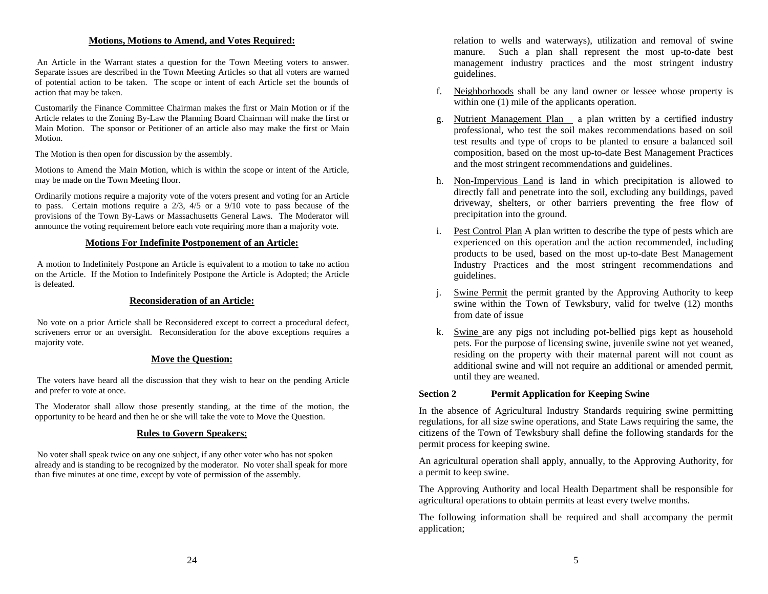An Article in the Warrant states a question for the Town Meeting voters to answer. Separate issues are described in the Town Meeting Articles so that all voters are warned of potential action to be taken. The scope or intent of each Article set the bounds of

Customarily the Finance Committee Chairman makes the first or Main Motion or if the Article relates to the Zoning By-Law the Planning Board Chairman will make the first or Main Motion. The sponsor or Petitioner of an article also may make the first or Main Motion.

The Motion is then open for discussion by the assembly.

Motions to Amend the Main Motion, which is within the scope or intent of the Article, may be made on the Town Meeting floor. h. Non-Impervious Land is land in which precipitation is allowed to

Ordinarily motions require a majority vote of the voters present and voting for an Article to pass. Certain motions require a 2/3, 4/5 or a 9/10 vote to pass because of the provisions of the Town By-Laws or Massachusetts General Laws. The Moderator will announce the voting requirement before each vote requiring more than a majority vote.

#### **Motions For Indefinite Postponement of an Article:**

 A motion to Indefinitely Postpone an Article is equivalent to a motion to take no action on the Article. If the Motion to Indefinitely Postpone the Article is Adopted; the Article is defeated.

#### **Reconsideration of an Article:**

 No vote on a prior Article shall be Reconsidered except to correct a procedural defect, scriveners error or an oversight. Reconsideration for the above exceptions requires a majority vote.

#### **Move the Question:**

 The voters have heard all the discussion that they wish to hear on the pending Article and prefer to vote at once. **Section 2 Permit Application for Keeping Swine** 

The Moderator shall allow those presently standing, at the time of the motion, the

#### **Rules to Govern Speakers:**

 No voter shall speak twice on any one subject, if any other voter who has not spoken already and is standing to be recognized by the moderator. No voter shall speak for more than five minutes at one time, except by vote of permission of the assembly.

**Motions, Motions to Amend, and Votes Required:** relation to wells and waterways), utilization and removal of swine manure. Such a plan shall represent the most up-to-date best management industry practices and the most stringent industry guidelines.

- action that may be taken.<br>
action that may be taken.<br>  $\frac{1}{2}$  Neighborhoods shall be any land owner or lessee whose property is<br>
within one (1) mile of the applicants operation.
	- g. Nutrient Management Plan a plan written by a certified industry professional, who test the soil makes recommendations based on soil test results and type of crops to be planted to ensure a balanced soil composition, based on the most up-to-date Best Management Practices and the most stringent recommendations and guidelines.
	- directly fall and penetrate into the soil, excluding any buildings, paved driveway, shelters, or other barriers preventing the free flow of precipitation into the ground.
	- i. Pest Control Plan A plan written to describe the type of pests which are experienced on this operation and the action recommended, including products to be used, based on the most up-to-date Best Management Industry Practices and the most stringent recommendations and guidelines.
	- j. Swine Permit the permit granted by the Approving Authority to keep swine within the Town of Tewksbury, valid for twelve (12) months from date of issue
	- k. Swine are any pigs not including pot-bellied pigs kept as household pets. For the purpose of licensing swine, juvenile swine not yet weaned, residing on the property with their maternal parent will not count as additional swine and will not require an additional or amended permit, until they are weaned.

The Moderator shall allow those presently standing, at the time of the motion, the<br>opportunity to be heard and then he or she will take the vote to Move the Question.<br>regulations, for all size swine operations, and State L citizens of the Town of Tewksbury shall define the following standards for the permit process for keeping swine.

> An agricultural operation shall apply, annually, to the Approving Authority, for a permit to keep swine.

> The Approving Authority and local Health Department shall be responsible for agricultural operations to obtain permits at least every twelve months.

> The following information shall be required and shall accompany the permit application;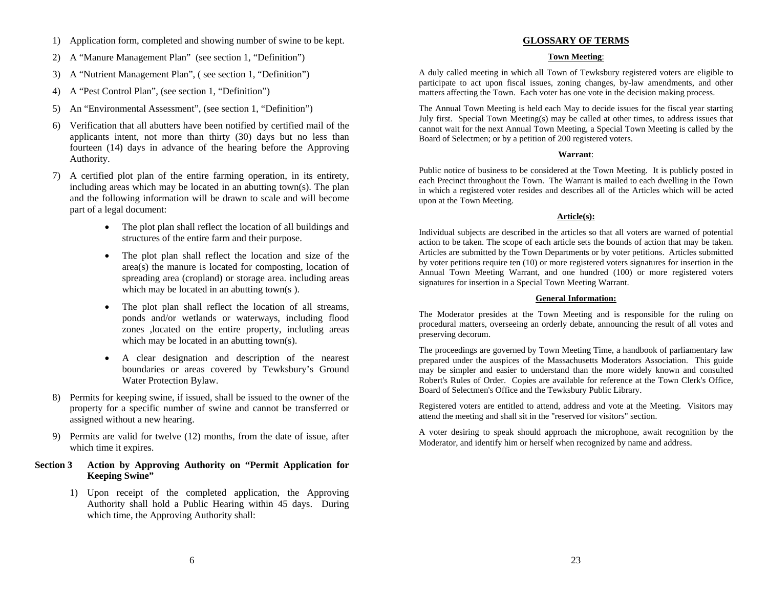- 1) Application form, completed and showing number of swine to be kept. **GLOSSARY OF TERMS**
- 2) A "Manure Management Plan" (see section 1, "Definition") **Town Meeting**:
- 3) A "Nutrient Management Plan", ( see section 1, "Definition")
- 4) A "Pest Control Plan", (see section 1, "Definition")
- 
- 6) Verification that all abutters have been notified by certified mail of the applicants intent, not more than thirty (30) days but no less than fourteen (14) days in advance of the hearing before the Approving Authority. **Warrant**:
- 7) A certified plot plan of the entire farming operation, in its entirety, including areas which may be located in an abutting town(s). The plan and the following information will be drawn to scale and will become part of a legal document: **Article(s): Article(s): Article(s): Article(s): A** 
	- The plot plan shall reflect the location of all buildings and
	- The plot plan shall reflect the location and size of the area(s) the manure is located for composting, location of spreading area (cropland) or storage area. including areas which may be located in an abutting town(s).
	- • The plot plan shall reflect the location of all streams, ponds and/or wetlands or waterways, including flood zones ,located on the entire property, including areas which may be located in an abutting town(s).
	- A clear designation and description of the nearest boundaries or areas covered by Tewksbury's Ground Water Protection Bylaw.
- 8) Permits for keeping swine, if issued, shall be issued to the owner of the property for a specific number of swine and cannot be transferred or assigned without a new hearing.
- 9) Permits are valid for twelve (12) months, from the date of issue, after<br>Woderator, and identify him or herself when recognized by name and address.<br>Moderator, and identify him or herself when recognized by name and addr

#### **Section 3 Action by Approving Authority on "Permit Application for Keeping Swine"**

1) Upon receipt of the completed application, the Approving Authority shall hold a Public Hearing within 45 days. During which time, the Approving Authority shall:

A duly called meeting in which all Town of Tewksbury registered voters are eligible to participate to act upon fiscal issues, zoning changes, by-law amendments, and other matters affecting the Town. Each voter has one vote in the decision making process.

5) An "Environmental Assessment", (see section 1, "Definition") The Annual Town Meeting is held each May to decide issues for the fiscal year starting July first. Special Town Meeting(s) may be called at other times, to address issues that cannot wait for the next Annual Town Meeting, a Special Town Meeting is called by the Board of Selectmen; or by a petition of 200 registered voters.

Public notice of business to be considered at the Town Meeting. It is publicly posted in each Precinct throughout the Town. The Warrant is mailed to each dwelling in the Town in which a registered voter resides and describes all of the Articles which will be acted upon at the Town Meeting.

Individual subjects are described in the articles so that all voters are warned of potential<br>structures of the entire farm and their purpose.<br>action to be taken. The scope of each article sets the bounds of action that may Articles are submitted by the Town Departments or by voter petitions. Articles submitted by voter petitions require ten (10) or more registered voters signatures for insertion in the Annual Town Meeting Warrant, and one hundred (100) or more registered voters signatures for insertion in a Special Town Meeting Warrant.

#### **General Information:**

The Moderator presides at the Town Meeting and is responsible for the ruling on procedural matters, overseeing an orderly debate, announcing the result of all votes and preserving decorum.

The proceedings are governed by Town Meeting Time, a handbook of parliamentary law prepared under the auspices of the Massachusetts Moderators Association. This guide may be simpler and easier to understand than the more widely known and consulted Robert's Rules of Order. Copies are available for reference at the Town Clerk's Office, Board of Selectmen's Office and the Tewksbury Public Library.

Registered voters are entitled to attend, address and vote at the Meeting. Visitors may attend the meeting and shall sit in the "reserved for visitors" section.

A voter desiring to speak should approach the microphone, await recognition by the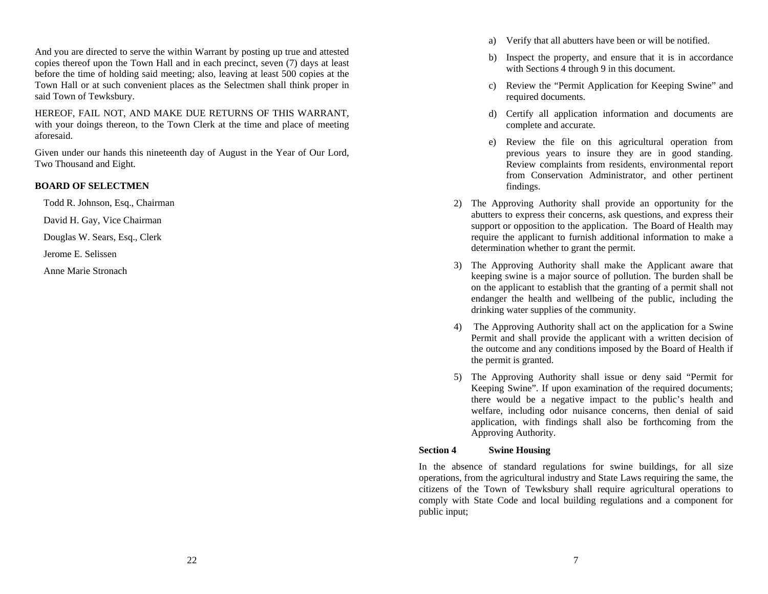And you are directed to serve the within Warrant by posting up true and attested copies thereof upon the Town Hall and in each precinct, seven (7) days at least before the time of holding said meeting; also, leaving at least 500 copies at the Town Hall or at such convenient places as the Selectmen shall think proper in said Town of Tewksbury.

HEREOF, FAIL NOT, AND MAKE DUE RETURNS OF THIS WARRANT, with your doings thereon, to the Town Clerk at the time and place of meeting aforesaid.

Given under our hands this nineteenth day of August in the Year of Our Lord, Two Thousand and Eight.

# **BOARD OF SELECTMEN**

David H. Gay, Vice Chairman

Douglas W. Sears, Esq., Clerk

Jerome E. Selissen

Anne Marie Stronach

- a) Verify that all abutters have been or will be notified.
- b) Inspect the property, and ensure that it is in accordance with Sections 4 through 9 in this document.
- c) Review the "Permit Application for Keeping Swine" and required documents.
- d) Certify all application information and documents are complete and accurate.
- e) Review the file on this agricultural operation from previous years to insure they are in good standing. Review complaints from residents, environmental report from Conservation Administrator, and other pertinent findings.
- Todd R. Johnson, Esq., Chairman 2) The Approving Authority shall provide an opportunity for the abutters to express their concerns, ask questions, and express their support or opposition to the application. The Board of Health may require the applicant to furnish additional information to make a determination whether to grant the permit.
	- 3) The Approving Authority shall make the Applicant aware that keeping swine is a major source of pollution. The burden shall be on the applicant to establish that the granting of a permit shall not endanger the health and wellbeing of the public, including the drinking water supplies of the community.
	- 4) The Approving Authority shall act on the application for a Swine Permit and shall provide the applicant with a written decision of the outcome and any conditions imposed by the Board of Health if the permit is granted.
	- 5) The Approving Authority shall issue or deny said "Permit for Keeping Swine". If upon examination of the required documents; there would be a negative impact to the public's health and welfare, including odor nuisance concerns, then denial of said application, with findings shall also be forthcoming from the Approving Authority.

# **Section 4 Swine Housing**

In the absence of standard regulations for swine buildings, for all size operations, from the agricultural industry and State Laws requiring the same, the citizens of the Town of Tewksbury shall require agricultural operations to comply with State Code and local building regulations and a component for public input;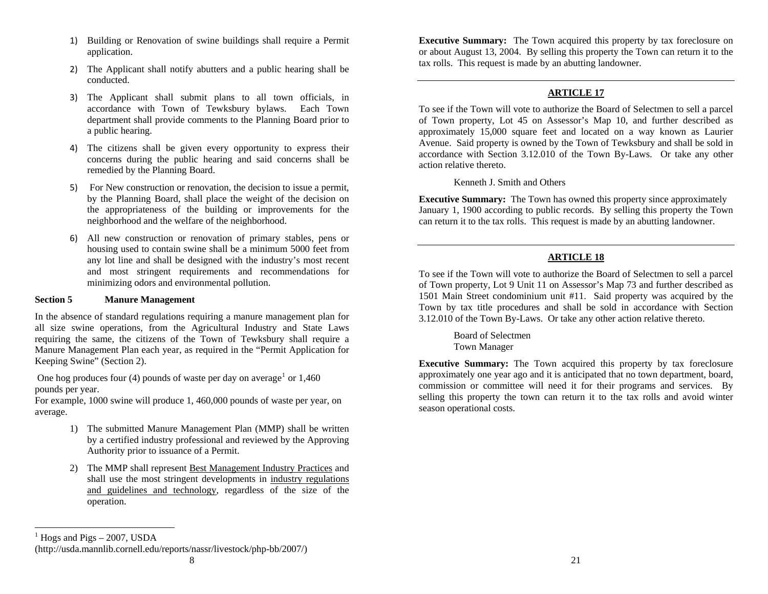- 1) Building or Renovation of swine buildings shall require a Permit application.
- 2) The Applicant shall notify abutters and a public hearing shall be conducted.
- 3) The Applicant shall submit plans to all town officials, in accordance with Town of Tewksbury bylaws. Each Town department shall provide comments to the Planning Board prior to a public hearing.
- 4) The citizens shall be given every opportunity to express their concerns during the public hearing and said concerns shall be remedied by the Planning Board.
- 5) For New construction or renovation, the decision to issue a permit, by the Planning Board, shall place the weight of the decision on the appropriateness of the building or improvements for the neighborhood and the welfare of the neighborhood.
- 6) All new construction or renovation of primary stables, pens or housing used to contain swine shall be a minimum 5000 feet from any lot line and shall be designed with the industry's most recent and most stringent requirements and recommendations for minimizing odors and environmental pollution.

#### **Section 5 Manure Management**

In the absence of standard regulations requiring a manure management plan for all size swine operations, from the Agricultural Industry and State Laws requiring the same, the citizens of the Town of Tewksbury shall require a Manure Management Plan each year, as required in the "Permit Application for Keeping Swine" (Section 2).

One hog produces four (4) pounds of waste per day on average<sup>[1](#page-7-0)</sup> or  $1,460$ pounds per year.

For example, 1000 swine will produce 1, 460,000 pounds of waste per year, on average.

- 1) The submitted Manure Management Plan (MMP) shall be written by a certified industry professional and reviewed by the Approving Authority prior to issuance of a Permit.
- 2) The MMP shall represent Best Management Industry Practices and shall use the most stringent developments in industry regulations and guidelines and technology, regardless of the size of the operation.

**Executive Summary:** The Town acquired this property by tax foreclosure on or about August 13, 2004. By selling this property the Town can return it to the tax rolls. This request is made by an abutting landowner.

# **ARTICLE 17**

To see if the Town will vote to authorize the Board of Selectmen to sell a parcel of Town property, Lot 45 on Assessor's Map 10, and further described as approximately 15,000 square feet and located on a way known as Laurier Avenue. Said property is owned by the Town of Tewksbury and shall be sold in accordance with Section 3.12.010 of the Town By-Laws. Or take any other action relative thereto.

Kenneth J. Smith and Others

**Executive Summary:** The Town has owned this property since approximately January 1, 1900 according to public records. By selling this property the Town can return it to the tax rolls. This request is made by an abutting landowner.

# **ARTICLE 18**

To see if the Town will vote to authorize the Board of Selectmen to sell a parcel of Town property, Lot 9 Unit 11 on Assessor's Map 73 and further described as 1501 Main Street condominium unit #11. Said property was acquired by the Town by tax title procedures and shall be sold in accordance with Section 3.12.010 of the Town By-Laws. Or take any other action relative thereto.

 Board of Selectmen Town Manager

**Executive Summary:** The Town acquired this property by tax foreclosure approximately one year ago and it is anticipated that no town department, board, commission or committee will need it for their programs and services. By selling this property the town can return it to the tax rolls and avoid winter season operational costs.

(http://usda.mannlib.cornell.edu/reports/nassr/livestock/php-bb/2007/)

<span id="page-7-0"></span> $<sup>1</sup>$  Hogs and Pigs – 2007, USDA</sup>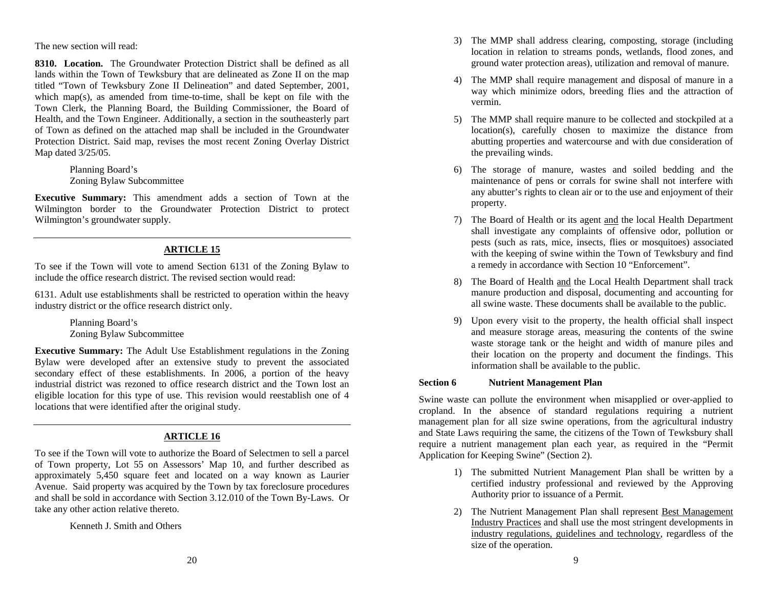The new section will read:

**8310. Location.** The Groundwater Protection District shall be defined as all lands within the Town of Tewksbury that are delineated as Zone II on the map titled "Town of Tewksbury Zone II Delineation" and dated September, 2001, which map(s), as amended from time-to-time, shall be kept on file with the Town Clerk, the Planning Board, the Building Commissioner, the Board of Health, and the Town Engineer. Additionally, a section in the southeasterly part of Town as defined on the attached map shall be included in the Groundwater Protection District. Said map, revises the most recent Zoning Overlay District Map dated 3/25/05.

> Planning Board's Zoning Bylaw Subcommittee

**Executive Summary:** This amendment adds a section of Town at the Wilmington border to the Groundwater Protection District to protect Wilmington's groundwater supply.

# **ARTICLE 15**

To see if the Town will vote to amend Section 6131 of the Zoning Bylaw to include the office research district. The revised section would read: 8) The Board of Health and the Local Health Department shall track

6131. Adult use establishments shall be restricted to operation within the heavy industry district or the office research district only.

> Planning Board's Zoning Bylaw Subcommittee

**Executive Summary:** The Adult Use Establishment regulations in the Zoning Bylaw were developed after an extensive study to prevent the associated secondary effect of these establishments. In 2006, a portion of the heavy industrial district was rezoned to office research district and the Town lost an eligible location for this type of use. This revision would reestablish one of 4 locations that were identified after the original study.

# **ARTICLE 16**

To see if the Town will vote to authorize the Board of Selectmen to sell a parcel of Town property, Lot 55 on Assessors' Map 10, and further described as approximately 5,450 square feet and located on a way known as Laurier Avenue. Said property was acquired by the Town by tax foreclosure procedures and shall be sold in accordance with Section 3.12.010 of the Town By-Laws. Or take any other action relative thereto.

Kenneth J. Smith and Others

- 3) The MMP shall address clearing, composting, storage (including location in relation to streams ponds, wetlands, flood zones, and ground water protection areas), utilization and removal of manure.
- 4) The MMP shall require management and disposal of manure in a way which minimize odors, breeding flies and the attraction of vermin.
- 5) The MMP shall require manure to be collected and stockpiled at a location(s), carefully chosen to maximize the distance from abutting properties and watercourse and with due consideration of the prevailing winds.
- 6) The storage of manure, wastes and soiled bedding and the maintenance of pens or corrals for swine shall not interfere with any abutter's rights to clean air or to the use and enjoyment of their property.
- 7) The Board of Health or its agent and the local Health Department shall investigate any complaints of offensive odor, pollution or pests (such as rats, mice, insects, flies or mosquitoes) associated with the keeping of swine within the Town of Tewksbury and find a remedy in accordance with Section 10 "Enforcement".
- manure production and disposal, documenting and accounting for all swine waste. These documents shall be available to the public.
- 9) Upon every visit to the property, the health official shall inspect and measure storage areas, measuring the contents of the swine waste storage tank or the height and width of manure piles and their location on the property and document the findings. This information shall be available to the public.

# **Section 6 Nutrient Management Plan**

Swine waste can pollute the environment when misapplied or over-applied to cropland. In the absence of standard regulations requiring a nutrient management plan for all size swine operations, from the agricultural industry and State Laws requiring the same, the citizens of the Town of Tewksbury shall require a nutrient management plan each year, as required in the "Permit Application for Keeping Swine" (Section 2).

- 1) The submitted Nutrient Management Plan shall be written by a certified industry professional and reviewed by the Approving Authority prior to issuance of a Permit.
- 2) The Nutrient Management Plan shall represent Best Management Industry Practices and shall use the most stringent developments in industry regulations, guidelines and technology, regardless of the size of the operation.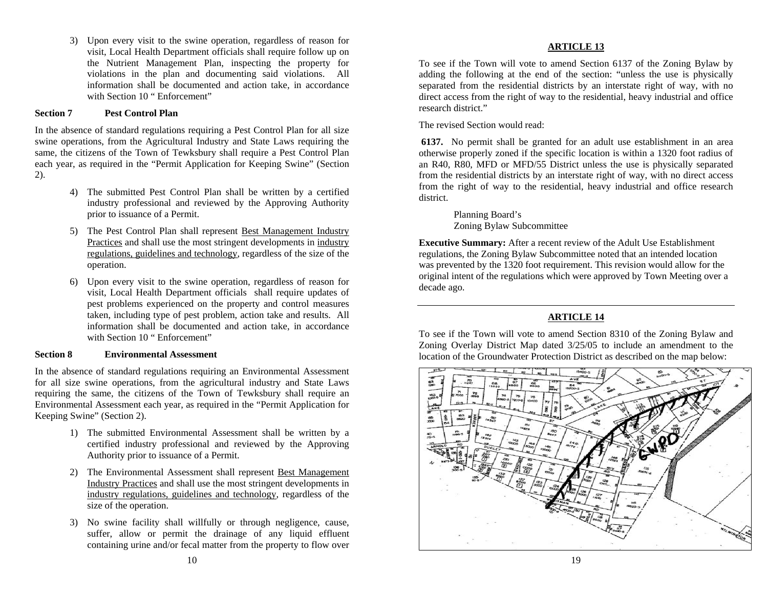3) Upon every visit to the swine operation, regardless of reason for visit, Local Health Department officials shall require follow up on the Nutrient Management Plan, inspecting the property for violations in the plan and documenting said violations. All information shall be documented and action take, in accordance with Section 10 " Enforcement"

# research district." **Section 7 Pest Control Plan**

In the absence of standard regulations requiring a Pest Control Plan for all size The revised Section would read: swine operations, from the Agricultural Industry and State Laws requiring the same, the citizens of the Town of Tewksbury shall require a Pest Control Plan each year, as required in the "Permit Application for Keeping Swine" (Section 2).

- 4) The submitted Pest Control Plan shall be written by a certified industry professional and reviewed by the Approving Authority district. prior to issuance of a Permit. Planning Board's
- Zoning Bylaw Subcommittee 5) The Pest Control Plan shall represent Best Management Industry Practices and shall use the most stringent developments in industry regulations, guidelines and technology, regardless of the size of the operation.
- 6) Upon every visit to the swine operation, regardless of reason for visit, Local Health Department officials shall require updates of decade ago. pest problems experienced on the property and control measures taken, including type of pest problem, action take and results. All information shall be documented and action take, in accordance with Section 10 " Enforcement"

In the absence of standard regulations requiring an Environmental Assessment for all size swine operations, from the agricultural industry and State Laws requiring the same, the citizens of the Town of Tewksbury shall require an Environmental Assessment each year, as required in the "Permit Application for Keeping Swine" (Section 2).

- 1) The submitted Environmental Assessment shall be written by a certified industry professional and reviewed by the Approving Authority prior to issuance of a Permit.
- 2) The Environmental Assessment shall represent Best Management Industry Practices and shall use the most stringent developments in industry regulations, guidelines and technology, regardless of the size of the operation.
- 3) No swine facility shall willfully or through negligence, cause, suffer, allow or permit the drainage of any liquid effluent containing urine and/or fecal matter from the property to flow over

#### **ARTICLE 13**

To see if the Town will vote to amend Section 6137 of the Zoning Bylaw by adding the following at the end of the section: "unless the use is physically separated from the residential districts by an interstate right of way, with no direct access from the right of way to the residential, heavy industrial and office

**6137.** No permit shall be granted for an adult use establishment in an area otherwise properly zoned if the specific location is within a 1320 foot radius of an R40, R80, MFD or MFD/55 District unless the use is physically separated from the residential districts by an interstate right of way, with no direct access from the right of way to the residential, heavy industrial and office research

**Executive Summary:** After a recent review of the Adult Use Establishment regulations, the Zoning Bylaw Subcommittee noted that an intended location was prevented by the 1320 foot requirement. This revision would allow for the original intent of the regulations which were approved by Town Meeting over a

# **ARTICLE 14**

To see if the Town will vote to amend Section 8310 of the Zoning Bylaw and Zoning Overlay District Map dated 3/25/05 to include an amendment to the **Section 8** Environmental Assessment **location**  $\alpha$  and  $\beta$  and  $\beta$  and  $\beta$  and  $\beta$  and  $\beta$  and  $\beta$  and  $\beta$  and  $\beta$  and  $\beta$  and  $\beta$  and  $\beta$  and  $\beta$  and  $\beta$  and  $\beta$  and  $\beta$  and  $\beta$  and  $\beta$  and  $\beta$  and  $\beta$ 

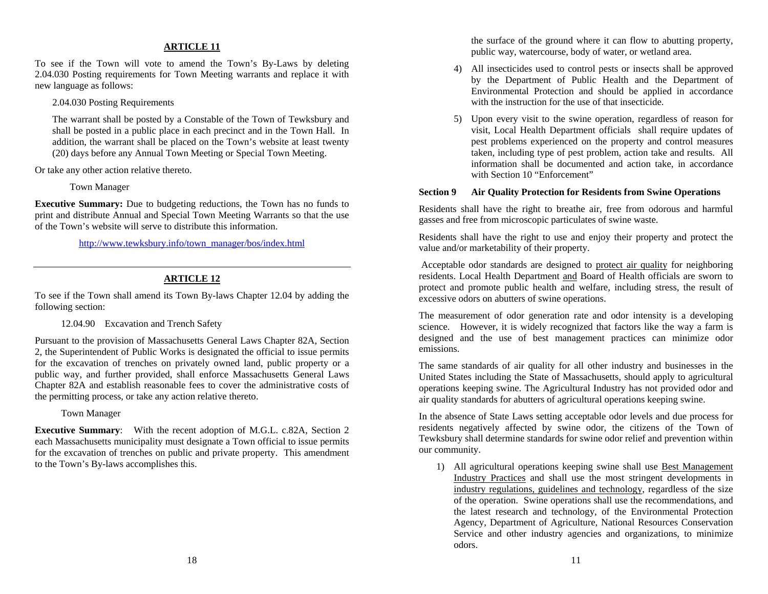To see if the Town will vote to amend the Town's By-Laws by deleting 2.04.030 Posting requirements for Town Meeting warrants and replace it with new language as follows:

The warrant shall be posted by a Constable of the Town of Tewksbury and shall be posted in a public place in each precinct and in the Town Hall. In addition, the warrant shall be placed on the Town's website at least twenty (20) days before any Annual Town Meeting or Special Town Meeting.

Or take any other action relative thereto.

**Executive Summary:** Due to budgeting reductions, the Town has no funds to print and distribute Annual and Special Town Meeting Warrants so that the use of the Town's website will serve to distribute this information.

#### **ARTICLE 12**

To see if the Town shall amend its Town By-laws Chapter 12.04 by adding the following section:<br>The measurement of odor generation rate and odor intensity is a developing

#### 12.04.90 Excavation and Trench Safety

Pursuant to the provision of Massachusetts General Laws Chapter 82A, Section 2, the Superintendent of Public Works is designated the official to issue permits for the excavation of trenches on privately owned land, public property or a public way, and further provided, shall enforce Massachusetts General Laws Chapter 82A and establish reasonable fees to cover the administrative costs of the permitting process, or take any action relative thereto.

**Executive Summary**: With the recent adoption of M.G.L. c.82A, Section 2 each Massachusetts municipality must designate a Town official to issue permits for the excavation of trenches on public and private property. This amendment to the Town's By-laws accomplishes this. 1) All agricultural operations keeping swine shall use Best Management

the surface of the ground where it can flow to abutting property, **ARTICLE 11** and the surface of the ground where it can flow to abutting public way, watercourse, body of water, or wetland area.

- 4) All insecticides used to control pests or insects shall be approved by the Department of Public Health and the Department of Environmental Protection and should be applied in accordance 2.04.030 Posting Requirements with the instruction for the use of that insecticide.
	- 5) Upon every visit to the swine operation, regardless of reason for visit, Local Health Department officials shall require updates of pest problems experienced on the property and control measures taken, including type of pest problem, action take and results. All information shall be documented and action take, in accordance with Section 10 "Enforcement"

# Town Manager **Section 9 Air Quality Protection for Residents from Swine Operations**

Residents shall have the right to breathe air, free from odorous and harmful gasses and free from microscopic particulates of swine waste.

Residents shall have the right to use and enjoy their property and protect the [http://www.tewksbury.info/town\\_manager/bos/index.html](http://www.tewksbury.info/town_manager/bos/index.html) value and/or marketability of their property.

> Acceptable odor standards are designed to protect air quality for neighboring residents. Local Health Department and Board of Health officials are sworn to protect and promote public health and welfare, including stress, the result of excessive odors on abutters of swine operations.

> science. However, it is widely recognized that factors like the way a farm is designed and the use of best management practices can minimize odor emissions.

> The same standards of air quality for all other industry and businesses in the United States including the State of Massachusetts, should apply to agricultural operations keeping swine. The Agricultural Industry has not provided odor and air quality standards for abutters of agricultural operations keeping swine.

Town Manager In the absence of State Laws setting acceptable odor levels and due process for residents negatively affected by swine odor, the citizens of the Town of Tewksbury shall determine standards for swine odor relief and prevention within our community.

> Industry Practices and shall use the most stringent developments in industry regulations, guidelines and technology, regardless of the size of the operation. Swine operations shall use the recommendations, and the latest research and technology, of the Environmental Protection Agency, Department of Agriculture, National Resources Conservation Service and other industry agencies and organizations, to minimize odors.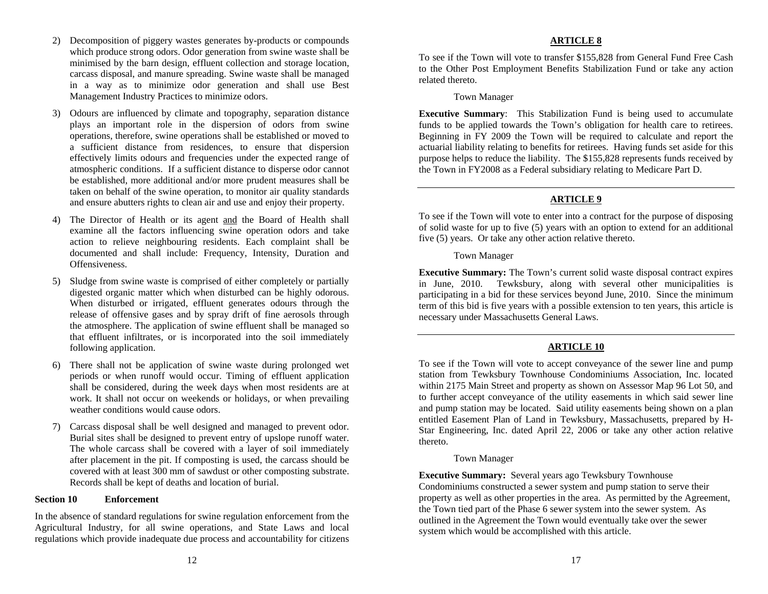- 2) Decomposition of piggery wastes generates by-products or compounds **ARTICLE 8**  which produce strong odors. Odor generation from swine waste shall be minimised by the barn design, effluent collection and storage location, carcass disposal, and manure spreading. Swine waste shall be managed in a way as to minimize odor generation and shall use Best Management Industry Practices to minimize odors.
- 3) Odours are influenced by climate and topography, separation distance plays an important role in the dispersion of odors from swine operations, therefore, swine operations shall be established or moved to a sufficient distance from residences, to ensure that dispersion effectively limits odours and frequencies under the expected range of atmospheric conditions. If a sufficient distance to disperse odor cannot be established, more additional and/or more prudent measures shall be taken on behalf of the swine operation, to monitor air quality standards and ensure abutters rights to clean air and use and enjoy their property.
- 4) The Director of Health or its agent and the Board of Health shall examine all the factors influencing swine operation odors and take action to relieve neighbouring residents. Each complaint shall be documented and shall include: Frequency, Intensity, Duration and Town Manager<br>Offensiveness.
- 5) Sludge from swine waste is comprised of either completely or partially digested organic matter which when disturbed can be highly odorous. When disturbed or irrigated, effluent generates odours through the release of offensive gases and by spray drift of fine aerosols through the atmosphere. The application of swine effluent shall be managed so that effluent infiltrates, or is incorporated into the soil immediately following application. **ARTICLE 10**
- 6) There shall not be application of swine waste during prolonged wet periods or when runoff would occur. Timing of effluent application shall be considered, during the week days when most residents are at work. It shall not occur on weekends or holidays, or when prevailing weather conditions would cause odors.
- 7) Carcass disposal shall be well designed and managed to prevent odor. Burial sites shall be designed to prevent entry of upslope runoff water. The whole carcass shall be covered with a layer of soil immediately after placement in the pit. If composting is used, the carcass should be covered with at least 300 mm of sawdust or other composting substrate. Records shall be kept of deaths and location of burial.

#### **Section 10 Enforcement**

In the absence of standard regulations for swine regulation enforcement from the Agricultural Industry, for all swine operations, and State Laws and local regulations which provide inadequate due process and accountability for citizens

To see if the Town will vote to transfer \$155,828 from General Fund Free Cash to the Other Post Employment Benefits Stabilization Fund or take any action related thereto.

Town Manager

**Executive Summary**: This Stabilization Fund is being used to accumulate funds to be applied towards the Town's obligation for health care to retirees. Beginning in FY 2009 the Town will be required to calculate and report the actuarial liability relating to benefits for retirees. Having funds set aside for this purpose helps to reduce the liability. The \$155,828 represents funds received by the Town in FY2008 as a Federal subsidiary relating to Medicare Part D.

# **ARTICLE 9**

To see if the Town will vote to enter into a contract for the purpose of disposing of solid waste for up to five (5) years with an option to extend for an additional five (5) years. Or take any other action relative thereto.

**Executive Summary:** The Town's current solid waste disposal contract expires in June, 2010. Tewksbury, along with several other municipalities is participating in a bid for these services beyond June, 2010. Since the minimum term of this bid is five years with a possible extension to ten years, this article is necessary under Massachusetts General Laws.

To see if the Town will vote to accept conveyance of the sewer line and pump station from Tewksbury Townhouse Condominiums Association, Inc. located within 2175 Main Street and property as shown on Assessor Map 96 Lot 50, and to further accept conveyance of the utility easements in which said sewer line and pump station may be located. Said utility easements being shown on a plan entitled Easement Plan of Land in Tewksbury, Massachusetts, prepared by H-Star Engineering, Inc. dated April 22, 2006 or take any other action relative thereto.

# Town Manager

**Executive Summary:** Several years ago Tewksbury Townhouse Condominiums constructed a sewer system and pump station to serve their property as well as other properties in the area. As permitted by the Agreement, the Town tied part of the Phase 6 sewer system into the sewer system. As outlined in the Agreement the Town would eventually take over the sewer system which would be accomplished with this article.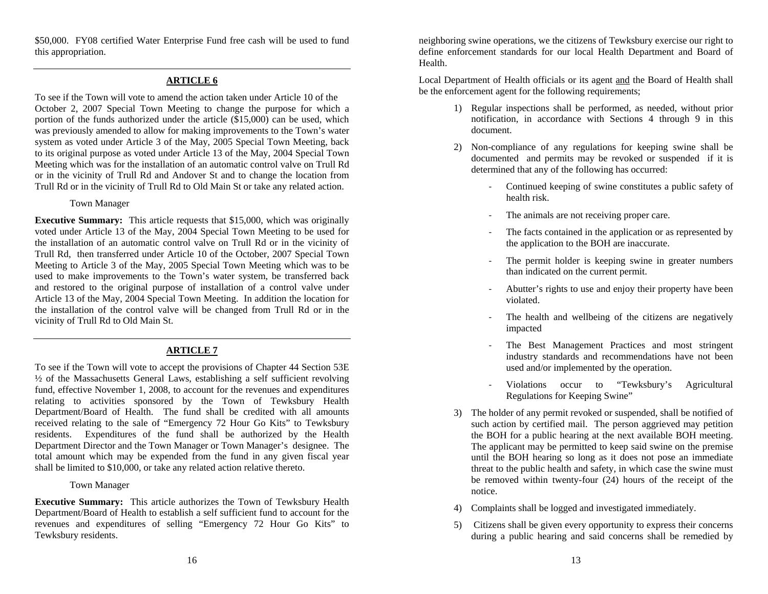\$50,000. FY08 certified Water Enterprise Fund free cash will be used to fund this appropriation.

#### **ARTICLE 6**

To see if the Town will vote to amend the action taken under Article 10 of the October 2, 2007 Special Town Meeting to change the purpose for which a portion of the funds authorized under the article (\$15,000) can be used, which was previously amended to allow for making improvements to the Town's water system as voted under Article 3 of the May, 2005 Special Town Meeting, back to its original purpose as voted under Article 13 of the May, 2004 Special Town Meeting which was for the installation of an automatic control valve on Trull Rd or in the vicinity of Trull Rd and Andover St and to change the location from Trull Rd or in the vicinity of Trull Rd to Old Main St or take any related action.

**Executive Summary:** This article requests that \$15,000, which was originally The animals are not receiving proper care. voted under Article 13 of the May, 2004 Special Town Meeting to be used for the installation of an automatic control valve on Trull Rd or in the vicinity of Trull Rd, then transferred under Article 10 of the October, 2007 Special Town Meeting to Article 3 of the May, 2005 Special Town Meeting which was to be used to make improvements to the Town's water system, be transferred back and restored to the original purpose of installation of a control valve under Article 13 of the May, 2004 Special Town Meeting. In addition the location for the installation of the control valve will be changed from Trull Rd or in the vicinity of Trull Rd to Old Main St.

#### **ARTICLE 7**

To see if the Town will vote to accept the provisions of Chapter 44 Section 53E ½ of the Massachusetts General Laws, establishing a self sufficient revolving fund, effective November 1, 2008, to account for the revenues and expenditures relating to activities sponsored by the Town of Tewksbury Health Department/Board of Health. The fund shall be credited with all amounts received relating to the sale of "Emergency 72 Hour Go Kits" to Tewksbury residents. Expenditures of the fund shall be authorized by the Health Department Director and the Town Manager or Town Manager's designee. The total amount which may be expended from the fund in any given fiscal year shall be limited to \$10,000, or take any related action relative thereto.

**Executive Summary:** This article authorizes the Town of Tewksbury Health Department/Board of Health to establish a self sufficient fund to account for the revenues and expenditures of selling "Emergency 72 Hour Go Kits" to Tewksbury residents.

neighboring swine operations, we the citizens of Tewksbury exercise our right to define enforcement standards for our local Health Department and Board of Health.

Local Department of Health officials or its agent and the Board of Health shall be the enforcement agent for the following requirements;

- 1) Regular inspections shall be performed, as needed, without prior notification, in accordance with Sections 4 through 9 in this document.
- 2) Non-compliance of any regulations for keeping swine shall be documented and permits may be revoked or suspended if it is determined that any of the following has occurred:
- ‐ Continued keeping of swine constitutes a public safety of health risk. Town Manager
	- $\overline{a}$
	- ‐ The facts contained in the application or as represented by the application to the BOH are inaccurate.
	- ‐ The permit holder is keeping swine in greater numbers than indicated on the current permit.
	- ‐ Abutter's rights to use and enjoy their property have been violated.
	- The health and wellbeing of the citizens are negatively impacted
	- ‐ The Best Management Practices and most stringent industry standards and recommendations have not been used and/or implemented by the operation.
	- $\blacksquare$  Violations occur to "Tewksbury's Agricultural Regulations for Keeping Swine"
- 3) The holder of any permit revoked or suspended, shall be notified of such action by certified mail. The person aggrieved may petition the BOH for a public hearing at the next available BOH meeting. The applicant may be permitted to keep said swine on the premise until the BOH hearing so long as it does not pose an immediate threat to the public health and safety, in which case the swine must be removed within twenty-four (24) hours of the receipt of the notice.Town Manager and the set of the set of the set of the set of the set of the set of the set of the set of the set of the set of the set of the set of the set of the set of the set of the set of the set of the set of the set
	- 4) Complaints shall be logged and investigated immediately.
	- 5) Citizens shall be given every opportunity to express their concerns during a public hearing and said concerns shall be remedied by